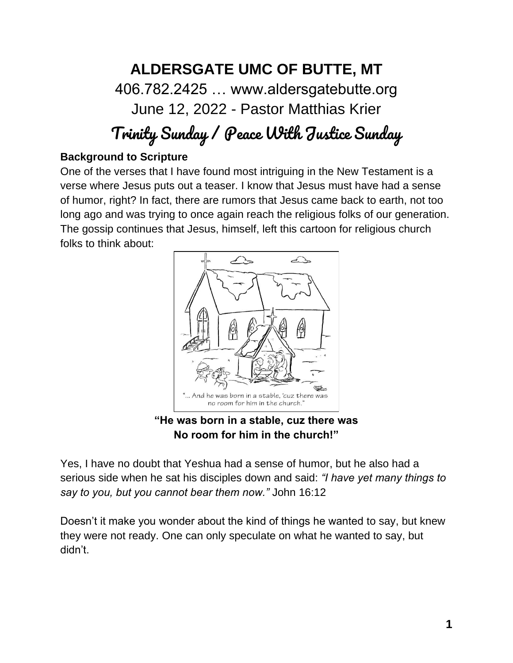# **ALDERSGATE UMC OF BUTTE, MT** 406.782.2425 … www.aldersgatebutte.org June 12, 2022 - Pastor Matthias Krier

# Trinity Sunday / Peace With Justice Sunday

#### **Background to Scripture**

One of the verses that I have found most intriguing in the New Testament is a verse where Jesus puts out a teaser. I know that Jesus must have had a sense of humor, right? In fact, there are rumors that Jesus came back to earth, not too long ago and was trying to once again reach the religious folks of our generation. The gossip continues that Jesus, himself, left this cartoon for religious church folks to think about:



**"He was born in a stable, cuz there was No room for him in the church!"**

Yes, I have no doubt that Yeshua had a sense of humor, but he also had a serious side when he sat his disciples down and said: *"I have yet many things to say to you, but you cannot bear them now."* John 16:12

Doesn't it make you wonder about the kind of things he wanted to say, but knew they were not ready. One can only speculate on what he wanted to say, but didn't.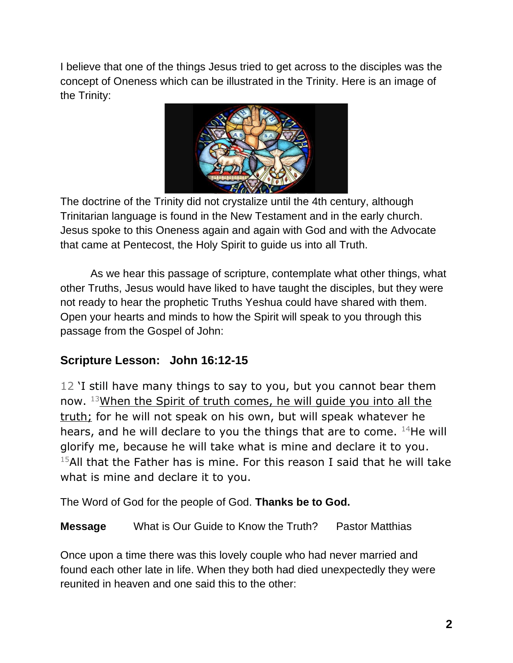I believe that one of the things Jesus tried to get across to the disciples was the concept of Oneness which can be illustrated in the Trinity. Here is an image of the Trinity:



The doctrine of the Trinity did not crystalize until the 4th century, although Trinitarian language is found in the New Testament and in the early church. Jesus spoke to this Oneness again and again with God and with the Advocate that came at Pentecost, the Holy Spirit to guide us into all Truth.

As we hear this passage of scripture, contemplate what other things, what other Truths, Jesus would have liked to have taught the disciples, but they were not ready to hear the prophetic Truths Yeshua could have shared with them. Open your hearts and minds to how the Spirit will speak to you through this passage from the Gospel of John:

### **Scripture Lesson: John 16:12-15**

12 'I still have many things to say to you, but you cannot bear them now. <sup>13</sup>When the Spirit of truth comes, he will guide you into all the truth; for he will not speak on his own, but will speak whatever he hears, and he will declare to you the things that are to come.  $14$ He will glorify me, because he will take what is mine and declare it to you.  $15$ All that the Father has is mine. For this reason I said that he will take what is mine and declare it to you.

The Word of God for the people of God. **Thanks be to God.** 

**Message** What is Our Guide to Know the Truth? Pastor Matthias

Once upon a time there was this lovely couple who had never married and found each other late in life. When they both had died unexpectedly they were reunited in heaven and one said this to the other: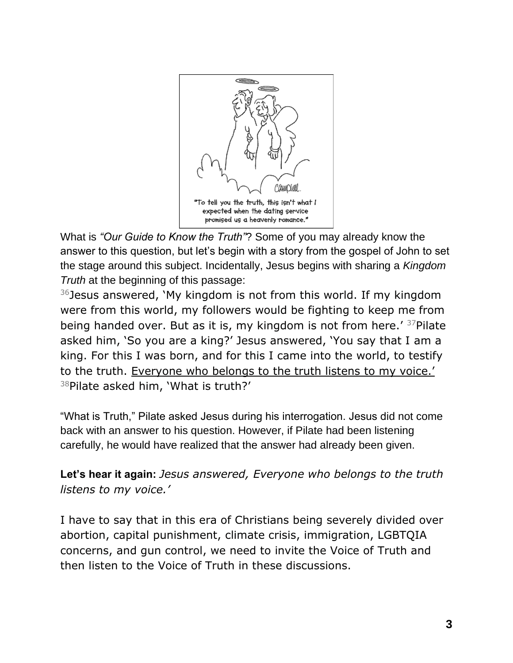

What is *"Our Guide to Know the Truth"*? Some of you may already know the answer to this question, but let's begin with a story from the gospel of John to set the stage around this subject. Incidentally, Jesus begins with sharing a *Kingdom Truth* at the beginning of this passage:

 $36$  Jesus answered, `My kingdom is not from this world. If my kingdom were from this world, my followers would be fighting to keep me from being handed over. But as it is, my kingdom is not from here.' <sup>37</sup>Pilate asked him, 'So you are a king?' Jesus answered, 'You say that I am a king. For this I was born, and for this I came into the world, to testify to the truth. Everyone who belongs to the truth listens to my voice.'  $38$ Pilate asked him, 'What is truth?'

"What is Truth," Pilate asked Jesus during his interrogation. Jesus did not come back with an answer to his question. However, if Pilate had been listening carefully, he would have realized that the answer had already been given.

**Let's hear it again:** *Jesus answered, Everyone who belongs to the truth listens to my voice.'* 

I have to say that in this era of Christians being severely divided over abortion, capital punishment, climate crisis, immigration, LGBTQIA concerns, and gun control, we need to invite the Voice of Truth and then listen to the Voice of Truth in these discussions.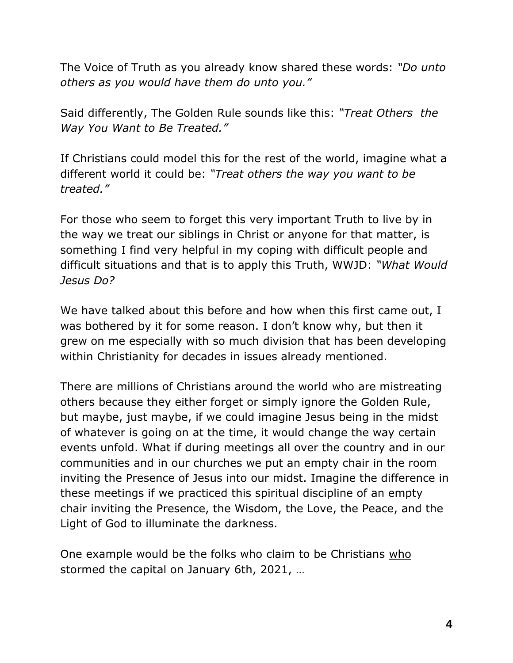The Voice of Truth as you already know shared these words: *"Do unto others as you would have them do unto you."*

Said differently, The Golden Rule sounds like this: *"Treat Others the Way You Want to Be Treated."*

If Christians could model this for the rest of the world, imagine what a different world it could be: *"Treat others the way you want to be treated."*

For those who seem to forget this very important Truth to live by in the way we treat our siblings in Christ or anyone for that matter, is something I find very helpful in my coping with difficult people and difficult situations and that is to apply this Truth, WWJD: *"What Would Jesus Do?*

We have talked about this before and how when this first came out, I was bothered by it for some reason. I don't know why, but then it grew on me especially with so much division that has been developing within Christianity for decades in issues already mentioned.

There are millions of Christians around the world who are mistreating others because they either forget or simply ignore the Golden Rule, but maybe, just maybe, if we could imagine Jesus being in the midst of whatever is going on at the time, it would change the way certain events unfold. What if during meetings all over the country and in our communities and in our churches we put an empty chair in the room inviting the Presence of Jesus into our midst. Imagine the difference in these meetings if we practiced this spiritual discipline of an empty chair inviting the Presence, the Wisdom, the Love, the Peace, and the Light of God to illuminate the darkness.

One example would be the folks who claim to be Christians who stormed the capital on January 6th, 2021, …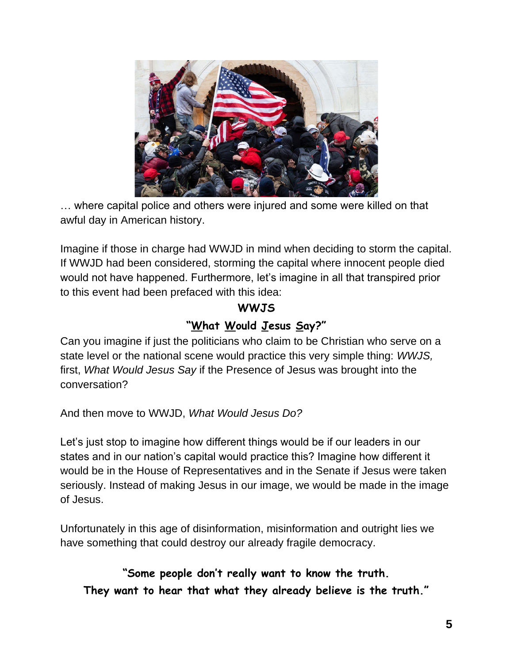

… where capital police and others were injured and some were killed on that awful day in American history.

Imagine if those in charge had WWJD in mind when deciding to storm the capital. If WWJD had been considered, storming the capital where innocent people died would not have happened. Furthermore, let's imagine in all that transpired prior to this event had been prefaced with this idea:

### **WWJS "What Would Jesus Say?"**

Can you imagine if just the politicians who claim to be Christian who serve on a state level or the national scene would practice this very simple thing: *WWJS,* first, *What Would Jesus Say* if the Presence of Jesus was brought into the conversation?

And then move to WWJD, *What Would Jesus Do?*

Let's just stop to imagine how different things would be if our leaders in our states and in our nation's capital would practice this? Imagine how different it would be in the House of Representatives and in the Senate if Jesus were taken seriously. Instead of making Jesus in our image, we would be made in the image of Jesus.

Unfortunately in this age of disinformation, misinformation and outright lies we have something that could destroy our already fragile democracy.

**"Some people don't really want to know the truth. They want to hear that what they already believe is the truth."**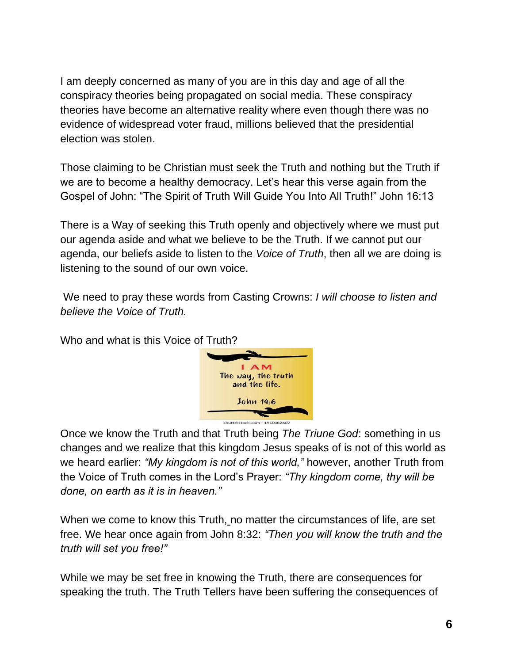I am deeply concerned as many of you are in this day and age of all the conspiracy theories being propagated on social media. These conspiracy theories have become an alternative reality where even though there was no evidence of widespread voter fraud, millions believed that the presidential election was stolen.

Those claiming to be Christian must seek the Truth and nothing but the Truth if we are to become a healthy democracy. Let's hear this verse again from the Gospel of John: "The Spirit of Truth Will Guide You Into All Truth!" John 16:13

There is a Way of seeking this Truth openly and objectively where we must put our agenda aside and what we believe to be the Truth. If we cannot put our agenda, our beliefs aside to listen to the *Voice of Truth*, then all we are doing is listening to the sound of our own voice.

We need to pray these words from Casting Crowns: *I will choose to listen and believe the Voice of Truth.* 

Who and what is this Voice of Truth?



Once we know the Truth and that Truth being *The Triune God*: something in us changes and we realize that this kingdom Jesus speaks of is not of this world as we heard earlier: *"My kingdom is not of this world,"* however, another Truth from the Voice of Truth comes in the Lord's Prayer: *"Thy kingdom come, thy will be done, on earth as it is in heaven."*

When we come to know this Truth, no matter the circumstances of life, are set free. We hear once again from John 8:32: *"Then you will know the truth and the truth will set you free!"*

While we may be set free in knowing the Truth, there are consequences for speaking the truth. The Truth Tellers have been suffering the consequences of